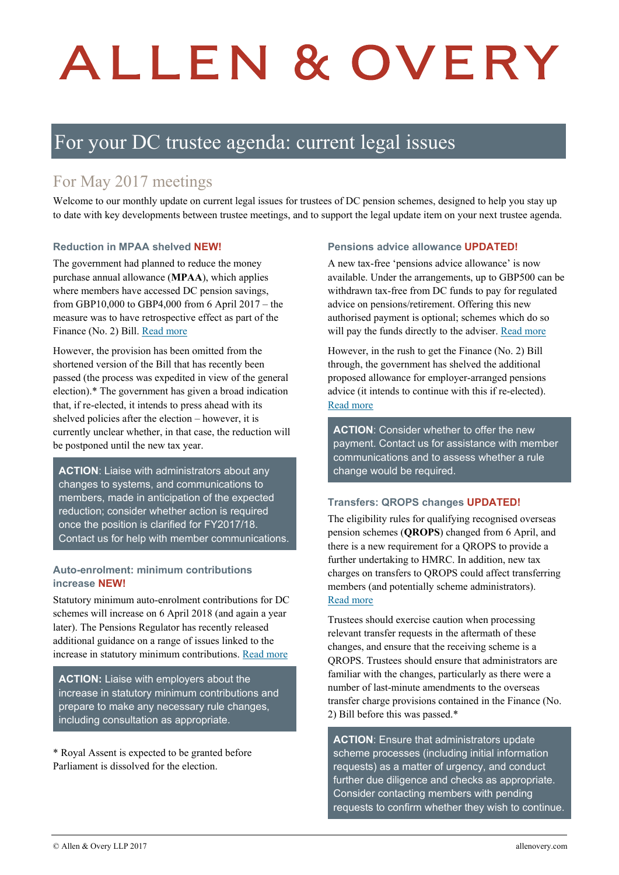# ALLEN & OVERY

## For your DC trustee agenda: current legal issues

## For May 2017 meetings

Welcome to our monthly update on current legal issues for trustees of DC pension schemes, designed to help you stay up to date with key developments between trustee meetings, and to support the legal update item on your next trustee agenda.

#### **Reduction in MPAA shelved NEW!**

The government had planned to reduce the money purchase annual allowance (**MPAA**), which applies where members have accessed DC pension savings, from GBP10,000 to GBP4,000 from 6 April 2017 – the measure was to have retrospective effect as part of the Finance (No. 2) Bill. [Read more](https://www.aohub.com/aohub/publications/pensions-whats-new-this-week_11?nav=FRbANEucS95NMLRN47z%2BeeOgEFCt8EGQ71hKXzqW2Ec%3D&key=BcJlhLtdCv6%2FJTDZxvL23TQa3JHL2AIGr93BnQjo2SkGJpG9xDX7S2thDpAQsCconWHAwe6cJTl9%0D%0At9%2BieSV65aoOPiGX4nYV)

However, the provision has been omitted from the shortened version of the Bill that has recently been passed (the process was expedited in view of the general election).\* The government has given a broad indication that, if re-elected, it intends to press ahead with its shelved policies after the election – however, it is currently unclear whether, in that case, the reduction will be postponed until the new tax year.

**ACTION**: Liaise with administrators about any changes to systems, and communications to members, made in anticipation of the expected reduction; consider whether action is required once the position is clarified for FY2017/18. Contact us for help with member communications.

#### **Auto-enrolment: minimum contributions increase NEW!**

Statutory minimum auto-enrolment contributions for DC schemes will increase on 6 April 2018 (and again a year later). The Pensions Regulator has recently released additional guidance on a range of issues linked to the increase in statutory minimum contributions. [Read more](https://www.aohub.com/aohub/publications/pensions-whats-new-this-week_16?nav=FRbANEucS95NMLRN47z%2BeeOgEFCt8EGQ71hKXzqW2Ec%3D&key=BcJlhLtdCv6%2FJTDZxvL23TQa3JHL2AIGr93BnQjo2SkGJpG9xDX7S2thDpAQsCconWHAwe6cJTmM%0D%0A%2Bx%2BlmCj%2FvmxaD%2BHibKrZ)

**ACTION:** Liaise with employers about the increase in statutory minimum contributions and prepare to make any necessary rule changes, including consultation as appropriate.

\* Royal Assent is expected to be granted before Parliament is dissolved for the election.

#### **Pensions advice allowance UPDATED!**

A new tax-free 'pensions advice allowance' is now available. Under the arrangements, up to GBP500 can be withdrawn tax-free from DC funds to pay for regulated advice on pensions/retirement. Offering this new authorised payment is optional; schemes which do so will pay the funds directly to the adviser[. Read more](https://www.aohub.com/aohub/publications/update-gmp-equalisation-and-changes-to-rules-on-contracted-out-benefits?nav=FRbANEucS95NMLRN47z%2BeeOgEFCt8EGQ71hKXzqW2Ec%3D&key=BcJlhLtdCv6%2FJTDZxvL23TQa3JHL2AIGr93BnQjo2SkGJpG9xDX7S2thDpAQsCconWHAwe6cJTn9%0D%0APIpsV4qzKbpskrooXVOA)

However, in the rush to get the Finance (No. 2) Bill through, the government has shelved the additional proposed allowance for employer-arranged pensions advice (it intends to continue with this if re-elected). [Read more](https://www.aohub.com/aohub/publications/pensions-whats-new-this-week_11?nav=FRbANEucS95NMLRN47z%2BeeOgEFCt8EGQ71hKXzqW2Ec%3D&key=BcJlhLtdCv6%2FJTDZxvL23TQa3JHL2AIGr93BnQjo2SkGJpG9xDX7S2thDpAQsCconWHAwe6cJTl9%0D%0At9%2BieSV65aoOPiGX4nYV)

**ACTION**: Consider whether to offer the new payment. Contact us for assistance with member communications and to assess whether a rule change would be required.

#### **Transfers: QROPS changes UPDATED!**

The eligibility rules for qualifying recognised overseas pension schemes (**QROPS**) changed from 6 April, and there is a new requirement for a QROPS to provide a further undertaking to HMRC. In addition, new tax charges on transfers to QROPS could affect transferring members (and potentially scheme administrators). [Read more](https://www.aohub.com/aohub/publications/update-gmp-equalisation-and-changes-to-rules-on-contracted-out-benefits?nav=FRbANEucS95NMLRN47z%2BeeOgEFCt8EGQ71hKXzqW2Ec%3D&key=BcJlhLtdCv6%2FJTDZxvL23TQa3JHL2AIGr93BnQjo2SkGJpG9xDX7S2thDpAQsCconWHAwe6cJTn9%0D%0APIpsV4qzKbpskrooXVOA)

Trustees should exercise caution when processing relevant transfer requests in the aftermath of these changes, and ensure that the receiving scheme is a QROPS. Trustees should ensure that administrators are familiar with the changes, particularly as there were a number of last-minute amendments to the overseas transfer charge provisions contained in the Finance (No. 2) Bill before this was passed.\*

**ACTION**: Ensure that administrators update scheme processes (including initial information requests) as a matter of urgency, and conduct further due diligence and checks as appropriate. Consider contacting members with pending requests to confirm whether they wish to continue.